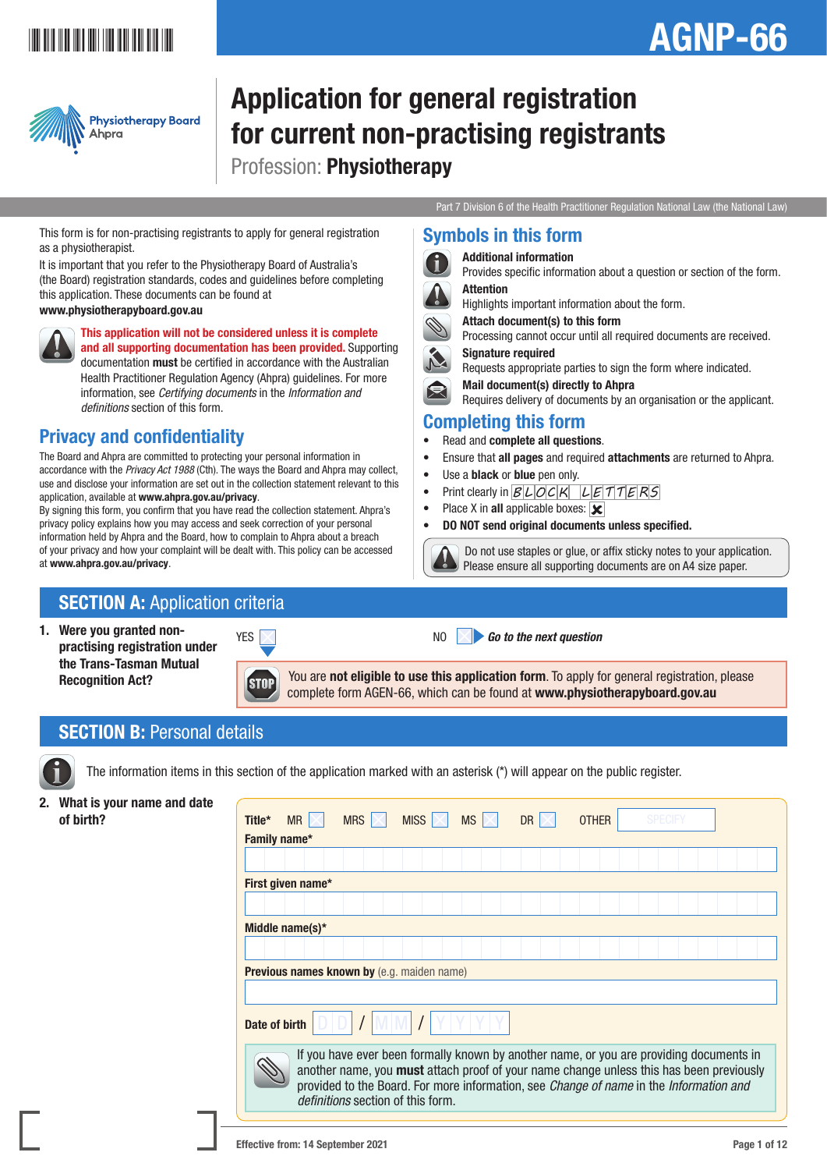## \*AGNPT#1011

# AGNP-66



## Application for general registration for current non-practising registrants Profession: Physiotherapy

Symbols in this form Additional information

Signature required

Completing this form • Read and complete all questions.

• Use a **black** or **blue** pen only.

• Place X in all applicable boxes:  $\overline{\mathbf{x}}$ 

Attention

Part 7 Division 6 of the Health Practitioner Regulation National Law (the National Law)

Provides specific information about a question or section of the form.

Processing cannot occur until all required documents are received.

Requires delivery of documents by an organisation or the applicant.

Do not use staples or glue, or affix sticky notes to your application.

Requests appropriate parties to sign the form where indicated.

• Ensure that all pages and required attachments are returned to Ahpra.

Please ensure all supporting documents are on A4 size paper.

Highlights important information about the form.

Attach document(s) to this form

Mail document(s) directly to Ahpra

• Print clearly in *B L OC K L E T T E RS*

• DO NOT send original documents unless specified.

This form is for non-practising registrants to apply for general registration as a physiotherapist.

It is important that you refer to the Physiotherapy Board of Australia's (the Board) registration standards, codes and guidelines before completing this application. These documents can be found at

#### www.physiotherapyboard.gov.au



This application will not be considered unless it is complete and all supporting documentation has been provided. Supporting documentation must be certified in accordance with the Australian Health Practitioner Regulation Agency (Ahpra) guidelines. For more information, see *Certifying documents* in the *Information and definitions* section of this form.

## Privacy and confidentiality

The Board and Ahpra are committed to protecting your personal information in accordance with the *Privacy Act 1988* (Cth). The ways the Board and Ahpra may collect, use and disclose your information are set out in the collection statement relevant to this application, available at www.ahpra.gov.au/privacy.

By signing this form, you confirm that you have read the collection statement. Ahpra's privacy policy explains how you may access and seek correction of your personal information held by Ahpra and the Board, how to complain to Ahpra about a breach of your privacy and how your complaint will be dealt with. This policy can be accessed at www.ahpra.gov.au/privacy.

## **SECTION A: Application criteria**

1. Were you granted nonpractising registration under the Trans-Tasman Mutual Recognition Act?

**STOP** 



NO **Go to the next question** 

You are not eligible to use this application form. To apply for general registration, please complete form AGEN-66, which can be found at www.physiotherapyboard.gov.au

## **SECTION B: Personal details**



The information items in this section of the application marked with an asterisk (\*) will appear on the public register.

## 2. What is your name and date

| <b>THING IS YOU!</b> HUIHO UHU UULO |               |                   |            |                                                                                                                                                                                                                                                                                                                          |           |           |              |                |  |
|-------------------------------------|---------------|-------------------|------------|--------------------------------------------------------------------------------------------------------------------------------------------------------------------------------------------------------------------------------------------------------------------------------------------------------------------------|-----------|-----------|--------------|----------------|--|
| of birth?                           | Title*        | <b>MR</b>         | <b>MRS</b> | MISS $\mathbb{K}$                                                                                                                                                                                                                                                                                                        | <b>MS</b> | <b>DR</b> | <b>OTHER</b> | <b>SPECIFY</b> |  |
|                                     |               | Family name*      |            |                                                                                                                                                                                                                                                                                                                          |           |           |              |                |  |
|                                     |               |                   |            |                                                                                                                                                                                                                                                                                                                          |           |           |              |                |  |
|                                     |               | First given name* |            |                                                                                                                                                                                                                                                                                                                          |           |           |              |                |  |
|                                     |               |                   |            |                                                                                                                                                                                                                                                                                                                          |           |           |              |                |  |
|                                     |               | Middle name(s)*   |            |                                                                                                                                                                                                                                                                                                                          |           |           |              |                |  |
|                                     |               |                   |            |                                                                                                                                                                                                                                                                                                                          |           |           |              |                |  |
|                                     |               |                   |            | <b>Previous names known by</b> (e.g. maiden name)                                                                                                                                                                                                                                                                        |           |           |              |                |  |
|                                     |               |                   |            |                                                                                                                                                                                                                                                                                                                          |           |           |              |                |  |
|                                     | Date of birth |                   |            |                                                                                                                                                                                                                                                                                                                          |           |           |              |                |  |
|                                     |               |                   |            | If you have ever been formally known by another name, or you are providing documents in<br>another name, you must attach proof of your name change unless this has been previously<br>provided to the Board. For more information, see Change of name in the Information and<br><i>definitions</i> section of this form. |           |           |              |                |  |
|                                     |               |                   |            |                                                                                                                                                                                                                                                                                                                          |           |           |              |                |  |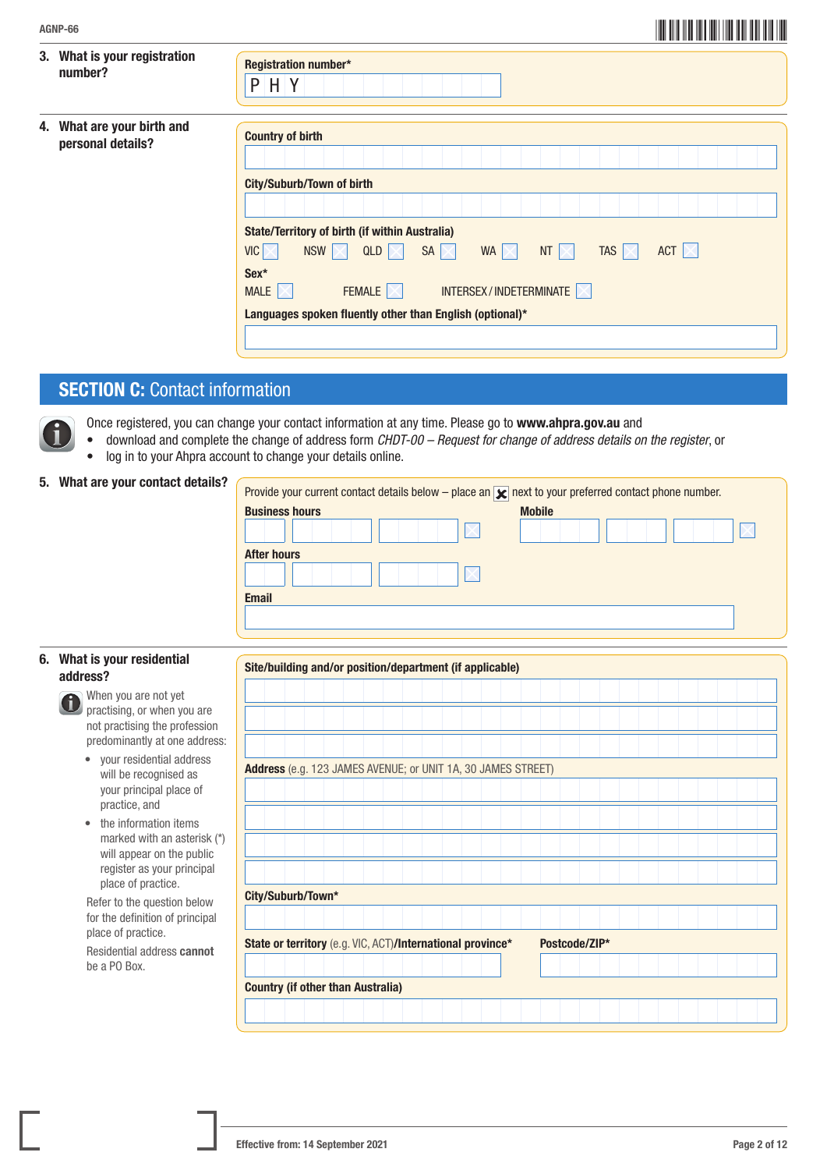| AGNP-66                                            |                                                                                                                                                                                                                                                                                                                                                                                                       |
|----------------------------------------------------|-------------------------------------------------------------------------------------------------------------------------------------------------------------------------------------------------------------------------------------------------------------------------------------------------------------------------------------------------------------------------------------------------------|
| What is your registration<br>3.<br>number?         | Registration number*<br>$P$ H Y                                                                                                                                                                                                                                                                                                                                                                       |
| What are your birth and<br>4.<br>personal details? | <b>Country of birth</b><br><b>City/Suburb/Town of birth</b><br><b>State/Territory of birth (if within Australia)</b><br>QLD $ \times $<br>$VIC$ $\times$<br>NSW<br>WA $\vert \times \vert$<br>NT $\mathbb{N}$<br>TAS $\vert \times \vert$<br>ACT $\mathbb{K}$<br>Sex*<br>INTERSEX/INDETERMINATE<br>FEMALE $ \times $<br>MALE $\mathbb{K}$<br>Languages spoken fluently other than English (optional)* |

## **SECTION C: Contact information**

Once registered, you can change your contact information at any time. Please go to www.ahpra.gov.au and

- download and complete the change of address form *CHDT-00 Request for change of address details on the register*, or
- log in to your Ahpra account to change your details online.

#### 5. What are your contact details?

| Provide your current contact details below – place an $\mathbf{x}$ next to your preferred contact phone number. |               |
|-----------------------------------------------------------------------------------------------------------------|---------------|
| <b>Business hours</b>                                                                                           | <b>Mobile</b> |
|                                                                                                                 |               |
| <b>After hours</b>                                                                                              |               |
|                                                                                                                 |               |
| <b>Email</b>                                                                                                    |               |
|                                                                                                                 |               |
|                                                                                                                 |               |

#### 6. What is your residential address?

- When you are not yet **D** when you are you, you are not practising the profession predominantly at one address:
	- your residential address will be recognised as your principal place of practice, and
	- the information items marked with an asterisk (\*) will appear on the public register as your principal place of practice.

 Refer to the question below for the definition of principal place of practice.

 Residential address cannot be a PO Box.

| Site/building and/or position/department (if applicable)   |  |  |  |  |  |  |                                                              |  |               |  |  |  |  |  |
|------------------------------------------------------------|--|--|--|--|--|--|--------------------------------------------------------------|--|---------------|--|--|--|--|--|
|                                                            |  |  |  |  |  |  |                                                              |  |               |  |  |  |  |  |
|                                                            |  |  |  |  |  |  |                                                              |  |               |  |  |  |  |  |
|                                                            |  |  |  |  |  |  |                                                              |  |               |  |  |  |  |  |
|                                                            |  |  |  |  |  |  |                                                              |  |               |  |  |  |  |  |
|                                                            |  |  |  |  |  |  | Address (e.g. 123 JAMES AVENUE; or UNIT 1A, 30 JAMES STREET) |  |               |  |  |  |  |  |
|                                                            |  |  |  |  |  |  |                                                              |  |               |  |  |  |  |  |
|                                                            |  |  |  |  |  |  |                                                              |  |               |  |  |  |  |  |
|                                                            |  |  |  |  |  |  |                                                              |  |               |  |  |  |  |  |
|                                                            |  |  |  |  |  |  |                                                              |  |               |  |  |  |  |  |
|                                                            |  |  |  |  |  |  |                                                              |  |               |  |  |  |  |  |
|                                                            |  |  |  |  |  |  |                                                              |  |               |  |  |  |  |  |
| City/Suburb/Town*                                          |  |  |  |  |  |  |                                                              |  |               |  |  |  |  |  |
|                                                            |  |  |  |  |  |  |                                                              |  |               |  |  |  |  |  |
| State or territory (e.g. VIC, ACT)/International province* |  |  |  |  |  |  |                                                              |  | Postcode/ZIP* |  |  |  |  |  |
|                                                            |  |  |  |  |  |  |                                                              |  |               |  |  |  |  |  |
|                                                            |  |  |  |  |  |  |                                                              |  |               |  |  |  |  |  |
| <b>Country (if other than Australia)</b>                   |  |  |  |  |  |  |                                                              |  |               |  |  |  |  |  |
|                                                            |  |  |  |  |  |  |                                                              |  |               |  |  |  |  |  |
|                                                            |  |  |  |  |  |  |                                                              |  |               |  |  |  |  |  |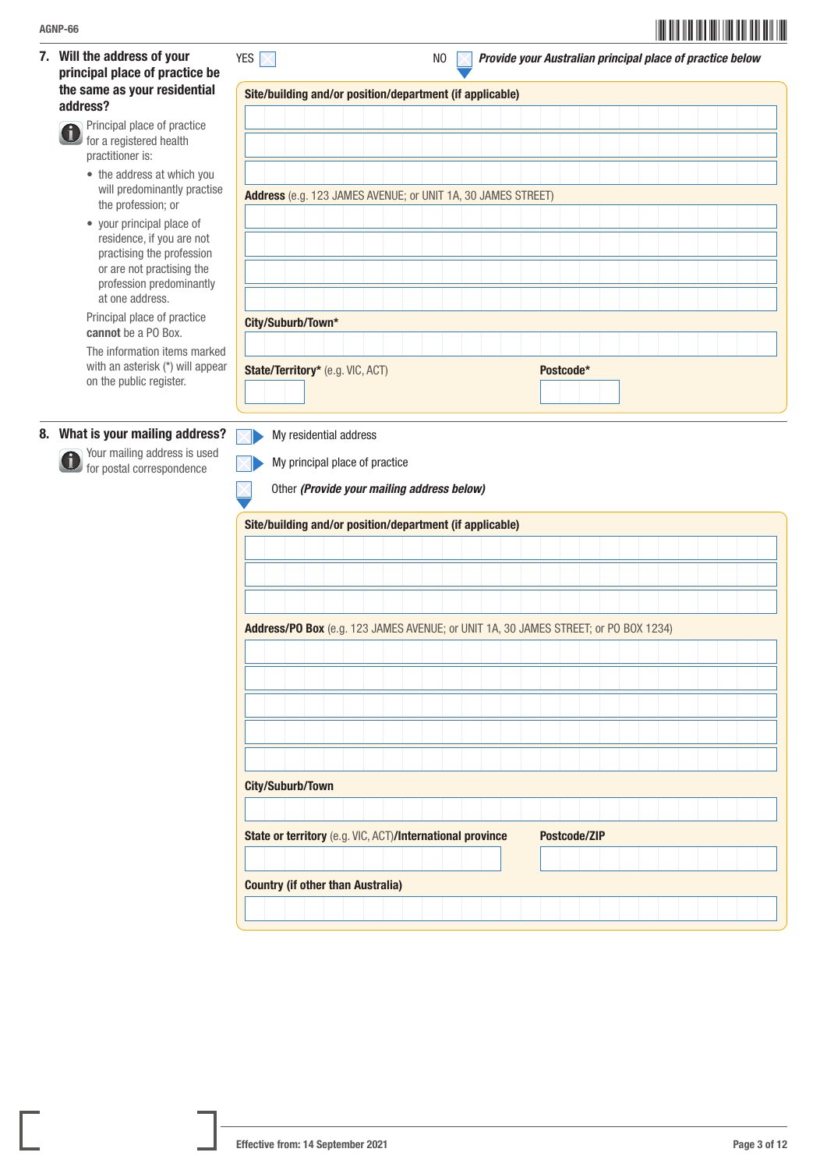7. Will the address of your principal place of practice be the same as your residential address?

> Principal place of practice Ci. for a registered health practitioner is:

- the address at which you will predominantly practise the profession; or
- your principal place of residence, if you are not practising the profession or are not practising the profession predominantly at one address.

Principal place of practice cannot be a PO Box.

 The information items marked with an asterisk (\*) will appear on the public register.

#### 8. What is your mailing address?

 Your mailing address is used for postal correspondence

|  | Site/building and/or position/department (if applicable)     |  |  |  |  |  |           |  |  |  |  |  |  |  |  |  |  |
|--|--------------------------------------------------------------|--|--|--|--|--|-----------|--|--|--|--|--|--|--|--|--|--|
|  |                                                              |  |  |  |  |  |           |  |  |  |  |  |  |  |  |  |  |
|  |                                                              |  |  |  |  |  |           |  |  |  |  |  |  |  |  |  |  |
|  |                                                              |  |  |  |  |  |           |  |  |  |  |  |  |  |  |  |  |
|  |                                                              |  |  |  |  |  |           |  |  |  |  |  |  |  |  |  |  |
|  | Address (e.g. 123 JAMES AVENUE; or UNIT 1A, 30 JAMES STREET) |  |  |  |  |  |           |  |  |  |  |  |  |  |  |  |  |
|  |                                                              |  |  |  |  |  |           |  |  |  |  |  |  |  |  |  |  |
|  |                                                              |  |  |  |  |  |           |  |  |  |  |  |  |  |  |  |  |
|  |                                                              |  |  |  |  |  |           |  |  |  |  |  |  |  |  |  |  |
|  |                                                              |  |  |  |  |  |           |  |  |  |  |  |  |  |  |  |  |
|  |                                                              |  |  |  |  |  |           |  |  |  |  |  |  |  |  |  |  |
|  |                                                              |  |  |  |  |  |           |  |  |  |  |  |  |  |  |  |  |
|  | City/Suburb/Town*                                            |  |  |  |  |  |           |  |  |  |  |  |  |  |  |  |  |
|  |                                                              |  |  |  |  |  |           |  |  |  |  |  |  |  |  |  |  |
|  |                                                              |  |  |  |  |  |           |  |  |  |  |  |  |  |  |  |  |
|  | State/Territory* (e.g. VIC, ACT)                             |  |  |  |  |  | Postcode* |  |  |  |  |  |  |  |  |  |  |
|  |                                                              |  |  |  |  |  |           |  |  |  |  |  |  |  |  |  |  |

My residential address  $\nabla$ 



Other *(Provide your mailing address below)*

|  | Site/building and/or position/department (if applicable)                            |  |  |  |  |  |  |                     |  |  |  |  |  |  |
|--|-------------------------------------------------------------------------------------|--|--|--|--|--|--|---------------------|--|--|--|--|--|--|
|  |                                                                                     |  |  |  |  |  |  |                     |  |  |  |  |  |  |
|  |                                                                                     |  |  |  |  |  |  |                     |  |  |  |  |  |  |
|  |                                                                                     |  |  |  |  |  |  |                     |  |  |  |  |  |  |
|  |                                                                                     |  |  |  |  |  |  |                     |  |  |  |  |  |  |
|  | Address/PO Box (e.g. 123 JAMES AVENUE; or UNIT 1A, 30 JAMES STREET; or PO BOX 1234) |  |  |  |  |  |  |                     |  |  |  |  |  |  |
|  |                                                                                     |  |  |  |  |  |  |                     |  |  |  |  |  |  |
|  |                                                                                     |  |  |  |  |  |  |                     |  |  |  |  |  |  |
|  |                                                                                     |  |  |  |  |  |  |                     |  |  |  |  |  |  |
|  |                                                                                     |  |  |  |  |  |  |                     |  |  |  |  |  |  |
|  |                                                                                     |  |  |  |  |  |  |                     |  |  |  |  |  |  |
|  |                                                                                     |  |  |  |  |  |  |                     |  |  |  |  |  |  |
|  |                                                                                     |  |  |  |  |  |  |                     |  |  |  |  |  |  |
|  | City/Suburb/Town                                                                    |  |  |  |  |  |  |                     |  |  |  |  |  |  |
|  |                                                                                     |  |  |  |  |  |  |                     |  |  |  |  |  |  |
|  | State or territory (e.g. VIC, ACT)/International province                           |  |  |  |  |  |  | <b>Postcode/ZIP</b> |  |  |  |  |  |  |
|  |                                                                                     |  |  |  |  |  |  |                     |  |  |  |  |  |  |
|  | <b>Country (if other than Australia)</b>                                            |  |  |  |  |  |  |                     |  |  |  |  |  |  |
|  |                                                                                     |  |  |  |  |  |  |                     |  |  |  |  |  |  |
|  |                                                                                     |  |  |  |  |  |  |                     |  |  |  |  |  |  |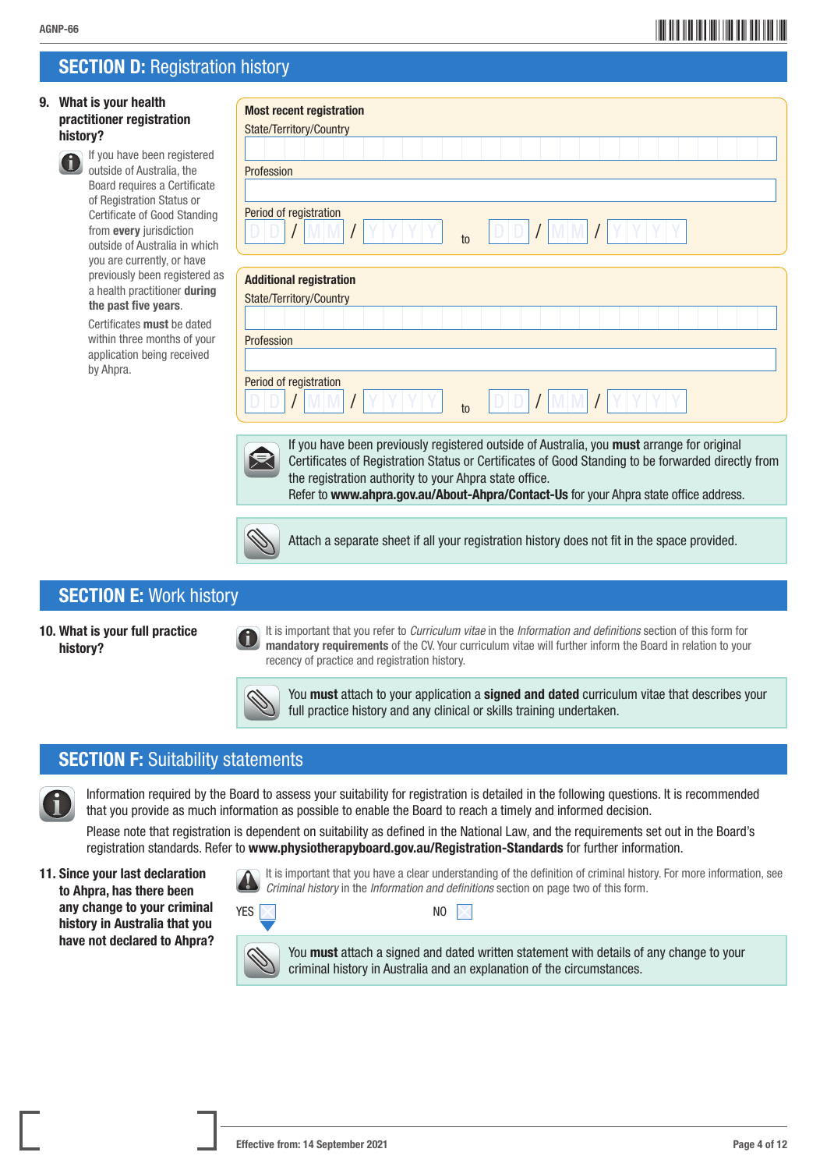## \*AGNP-664\* AGNP-66

## **SECTION D: Registration history**

#### 9. What is your health practitioner registration history?



 If you have been registered outside of Australia, the Board requires a Certificate of Registration Status or Certificate of Good Standing from every jurisdiction outside of Australia in which you are currently, or have previously been registered as a health practitioner during the past five years.

 Certificates must be dated within three months of your application being received by Ahpra.

| <b>Most recent registration</b><br>State/Territory/Country |       |
|------------------------------------------------------------|-------|
| Profession                                                 |       |
| Period of registration<br>IV.<br>$10$                      | D/D I |
| <b>Additional registration</b><br>State/Territory/Country  |       |

D D / M M / Y Y Y Y to D D / M M / Y Y Y Y



Profession

Period of registration

 If you have been previously registered outside of Australia, you must arrange for original Certificates of Registration Status or Certificates of Good Standing to be forwarded directly from the registration authority to your Ahpra state office. Refer to www.ahpra.gov.au/About-Ahpra/Contact-Us for your Ahpra state office address.



Attach a separate sheet if all your registration history does not fit in the space provided.

## SECTION E: Work history

#### 10. What is your full practice history?

 It is important that you refer to *Curriculum vitae* in the *Information and definitions* section of this form for mandatory requirements of the CV. Your curriculum vitae will further inform the Board in relation to your recency of practice and registration history.



You must attach to your application a signed and dated curriculum vitae that describes your full practice history and any clinical or skills training undertaken.

## **SECTION F: Suitability statements**

 Information required by the Board to assess your suitability for registration is detailed in the following questions. It is recommended that you provide as much information as possible to enable the Board to reach a timely and informed decision.

Please note that registration is dependent on suitability as defined in the National Law, and the requirements set out in the Board's registration standards. Refer to www.physiotherapyboard.gov.au/Registration-Standards for further information.

11. Since your last declaration to Ahpra, has there been any change to your criminal history in Australia that you have not declared to Ahpra?  It is important that you have a clear understanding of the definition of criminal history. For more information, see *Criminal history* in the *Information and definitions* section on page two of this form.



You **must** attach a signed and dated written statement with details of any change to your criminal history in Australia and an explanation of the circumstances.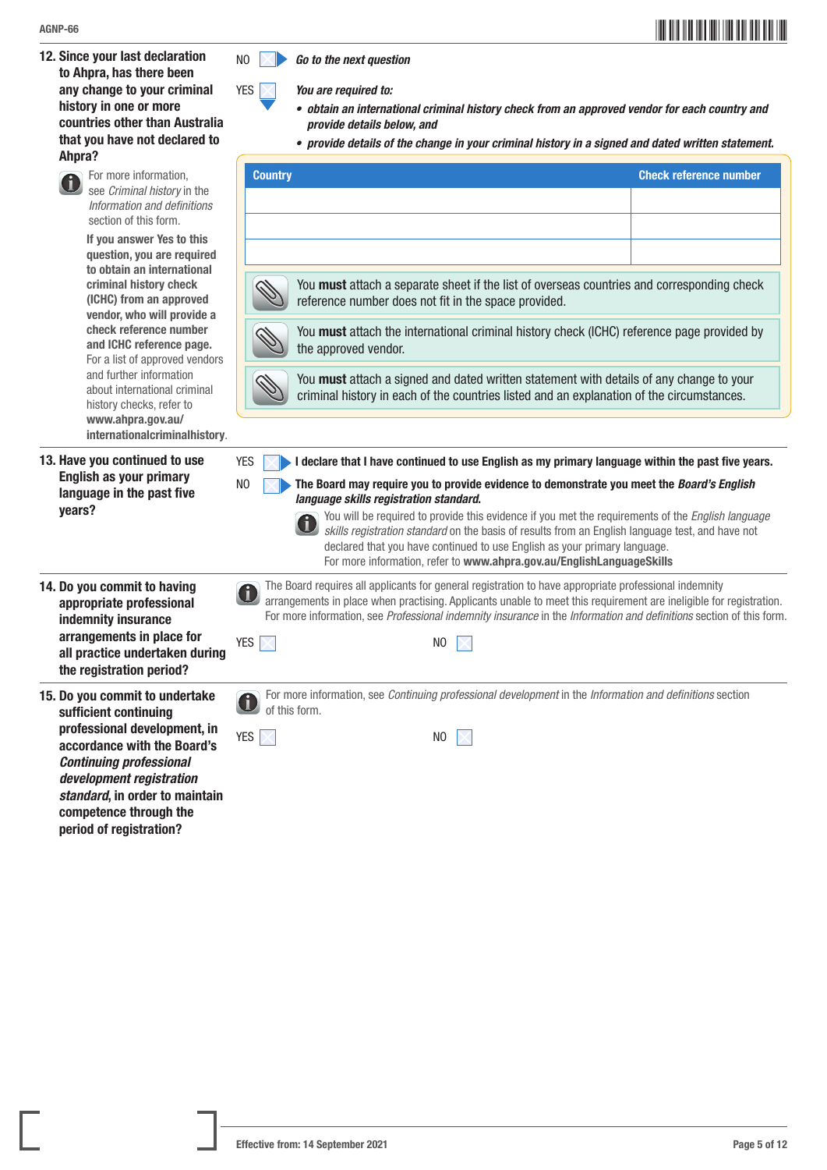12. Since your last declaration to Ahpra, has there been any change to your criminal history in one or more countries other than Australia that you have not declared to Ahpra?



YES *You are required to:*

- *• obtain an international criminal history check from an approved vendor for each country and provide details below, and*
- *• provide details of the change in your criminal history in a signed and dated written statement.*

| Ahpra?                                                                                                                                                                                                                                                                                                                                                                           | oriuo uotano oi tiio onango in your orinimui motory in a oignou unu uutou mitton                                                                                                                                                                                                                                                                                                                                                                                                                                                                                                                                                        |                               |
|----------------------------------------------------------------------------------------------------------------------------------------------------------------------------------------------------------------------------------------------------------------------------------------------------------------------------------------------------------------------------------|-----------------------------------------------------------------------------------------------------------------------------------------------------------------------------------------------------------------------------------------------------------------------------------------------------------------------------------------------------------------------------------------------------------------------------------------------------------------------------------------------------------------------------------------------------------------------------------------------------------------------------------------|-------------------------------|
| For more information,<br>see Criminal history in the<br>Information and definitions<br>section of this form.<br>If you answer Yes to this                                                                                                                                                                                                                                        | <b>Country</b>                                                                                                                                                                                                                                                                                                                                                                                                                                                                                                                                                                                                                          | <b>Check reference number</b> |
| question, you are required<br>to obtain an international<br>criminal history check<br>(ICHC) from an approved<br>vendor, who will provide a<br>check reference number<br>and ICHC reference page.<br>For a list of approved vendors<br>and further information<br>about international criminal<br>history checks, refer to<br>www.ahpra.gov.au/<br>internationalcriminalhistory. | You must attach a separate sheet if the list of overseas countries and corresponding check<br>reference number does not fit in the space provided.<br>You must attach the international criminal history check (ICHC) reference page provided by<br>the approved vendor.<br>You must attach a signed and dated written statement with details of any change to your<br>criminal history in each of the countries listed and an explanation of the circumstances.                                                                                                                                                                        |                               |
| 13. Have you continued to use<br><b>English as your primary</b><br>language in the past five<br>years?                                                                                                                                                                                                                                                                           | <b>YES</b><br>I declare that I have continued to use English as my primary language within the past five years.<br>N <sub>0</sub><br>The Board may require you to provide evidence to demonstrate you meet the Board's English<br>language skills registration standard.<br>You will be required to provide this evidence if you met the requirements of the English language<br>skills registration standard on the basis of results from an English language test, and have not<br>declared that you have continued to use English as your primary language.<br>For more information, refer to www.ahpra.gov.au/EnglishLanguageSkills |                               |
| 14. Do you commit to having<br>appropriate professional<br>indemnity insurance<br>arrangements in place for<br>all practice undertaken during<br>the registration period?                                                                                                                                                                                                        | The Board requires all applicants for general registration to have appropriate professional indemnity<br>arrangements in place when practising. Applicants unable to meet this requirement are ineligible for registration.<br>For more information, see Professional indemnity insurance in the Information and definitions section of this form.<br><b>YES</b><br>$\times$<br>N <sub>0</sub>                                                                                                                                                                                                                                          |                               |
| 15. Do you commit to undertake<br>sufficient continuing<br>professional development, in<br>accordance with the Board's<br><b>Continuing professional</b><br>development registration<br>standard, in order to maintain                                                                                                                                                           | For more information, see Continuing professional development in the Information and definitions section<br>of this form.<br><b>YES</b><br>NO                                                                                                                                                                                                                                                                                                                                                                                                                                                                                           |                               |



professional develop accordance with the *Continuing professional development registra* standard, in order to competence through the period of registration?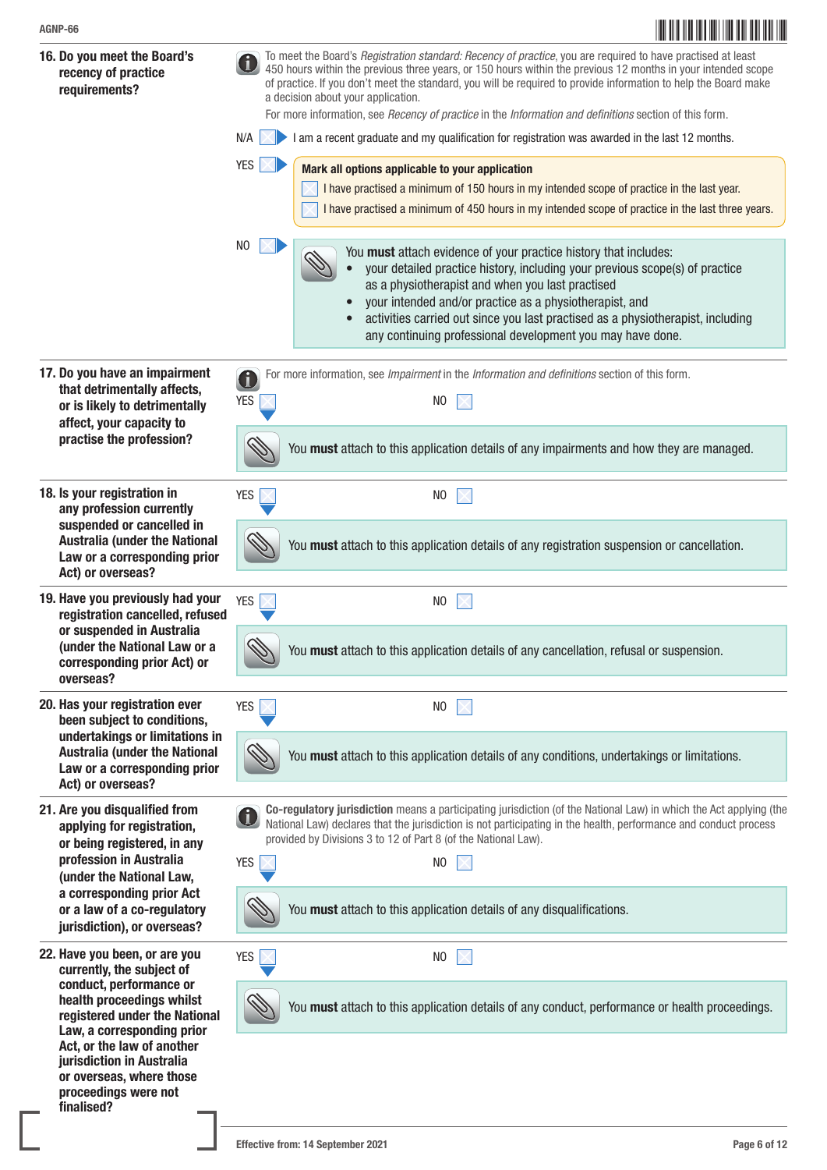

proceedings were not

finalised?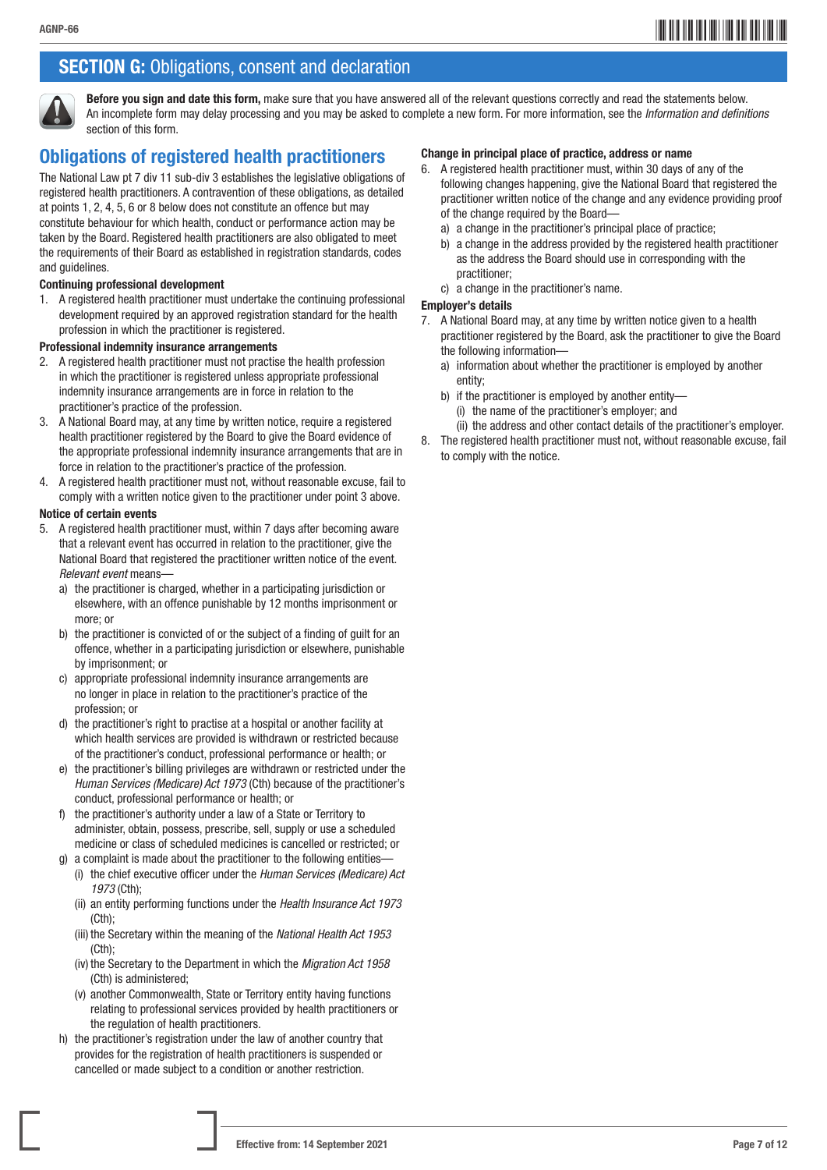## **SECTION G:** Obligations, consent and declaration



Before you sign and date this form, make sure that you have answered all of the relevant questions correctly and read the statements below. An incomplete form may delay processing and you may be asked to complete a new form. For more information, see the *Information and definitions*  section of this form.

## Obligations of registered health practitioners

The National Law pt 7 div 11 sub-div 3 establishes the legislative obligations of registered health practitioners. A contravention of these obligations, as detailed at points 1, 2, 4, 5, 6 or 8 below does not constitute an offence but may constitute behaviour for which health, conduct or performance action may be taken by the Board. Registered health practitioners are also obligated to meet the requirements of their Board as established in registration standards, codes and guidelines.

#### Continuing professional development

1. A registered health practitioner must undertake the continuing professional development required by an approved registration standard for the health profession in which the practitioner is registered.

#### Professional indemnity insurance arrangements

- 2. A registered health practitioner must not practise the health profession in which the practitioner is registered unless appropriate professional indemnity insurance arrangements are in force in relation to the practitioner's practice of the profession.
- 3. A National Board may, at any time by written notice, require a registered health practitioner registered by the Board to give the Board evidence of the appropriate professional indemnity insurance arrangements that are in force in relation to the practitioner's practice of the profession.
- 4. A registered health practitioner must not, without reasonable excuse, fail to comply with a written notice given to the practitioner under point 3 above.

#### Notice of certain events

- 5. A registered health practitioner must, within 7 days after becoming aware that a relevant event has occurred in relation to the practitioner, give the National Board that registered the practitioner written notice of the event. *Relevant event* means
	- a) the practitioner is charged, whether in a participating jurisdiction or elsewhere, with an offence punishable by 12 months imprisonment or more; or
	- b) the practitioner is convicted of or the subject of a finding of guilt for an offence, whether in a participating jurisdiction or elsewhere, punishable by imprisonment; or
	- c) appropriate professional indemnity insurance arrangements are no longer in place in relation to the practitioner's practice of the profession; or
	- d) the practitioner's right to practise at a hospital or another facility at which health services are provided is withdrawn or restricted because of the practitioner's conduct, professional performance or health; or
	- e) the practitioner's billing privileges are withdrawn or restricted under the *Human Services (Medicare) Act 1973* (Cth) because of the practitioner's conduct, professional performance or health; or
	- f) the practitioner's authority under a law of a State or Territory to administer, obtain, possess, prescribe, sell, supply or use a scheduled medicine or class of scheduled medicines is cancelled or restricted; or
	- g) a complaint is made about the practitioner to the following entities-(i) the chief executive officer under the *Human Services (Medicare) Act 1973* (Cth);
		- (ii) an entity performing functions under the *Health Insurance Act 1973*  (Cth);
		- (iii) the Secretary within the meaning of the *National Health Act 1953*  (Cth);
		- (iv) the Secretary to the Department in which the *Migration Act 1958* (Cth) is administered;
		- (v) another Commonwealth, State or Territory entity having functions relating to professional services provided by health practitioners or the regulation of health practitioners.
	- h) the practitioner's registration under the law of another country that provides for the registration of health practitioners is suspended or cancelled or made subject to a condition or another restriction.

#### Change in principal place of practice, address or name

- 6. A registered health practitioner must, within 30 days of any of the following changes happening, give the National Board that registered the practitioner written notice of the change and any evidence providing proof of the change required by the Board
	- a) a change in the practitioner's principal place of practice;
	- b) a change in the address provided by the registered health practitioner as the address the Board should use in corresponding with the practitioner;
	- c) a change in the practitioner's name.

#### Employer's details

- 7. A National Board may, at any time by written notice given to a health practitioner registered by the Board, ask the practitioner to give the Board the following information
	- a) information about whether the practitioner is employed by another entity;
	- b) if the practitioner is employed by another entity—
		- (i) the name of the practitioner's employer; and
		- (ii) the address and other contact details of the practitioner's employer.
- 8. The registered health practitioner must not, without reasonable excuse, fail to comply with the notice.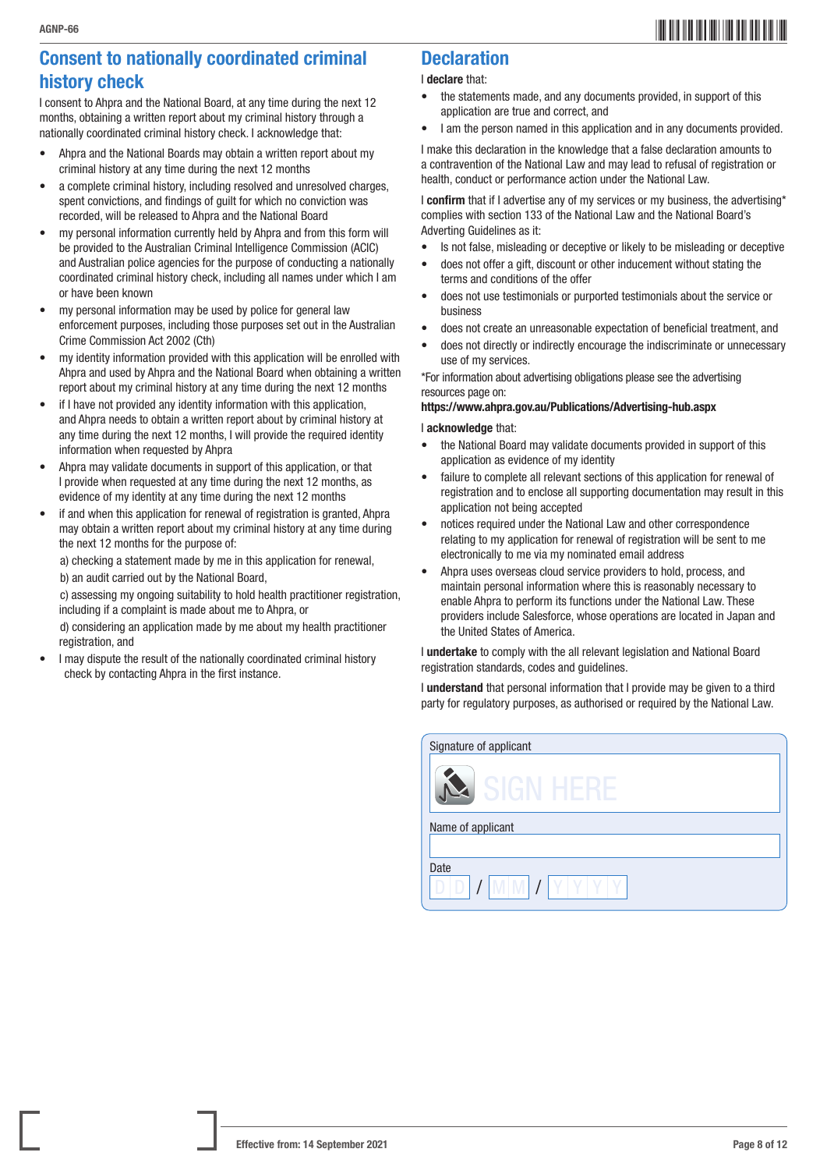## Consent to nationally coordinated criminal history check

I consent to Ahpra and the National Board, at any time during the next 12 months, obtaining a written report about my criminal history through a nationally coordinated criminal history check. I acknowledge that:

- Ahpra and the National Boards may obtain a written report about my criminal history at any time during the next 12 months
- a complete criminal history, including resolved and unresolved charges, spent convictions, and findings of guilt for which no conviction was recorded, will be released to Ahpra and the National Board
- my personal information currently held by Ahpra and from this form will be provided to the Australian Criminal Intelligence Commission (ACIC) and Australian police agencies for the purpose of conducting a nationally coordinated criminal history check, including all names under which I am or have been known
- my personal information may be used by police for general law enforcement purposes, including those purposes set out in the Australian Crime Commission Act 2002 (Cth)
- my identity information provided with this application will be enrolled with Ahpra and used by Ahpra and the National Board when obtaining a written report about my criminal history at any time during the next 12 months
- if I have not provided any identity information with this application, and Ahpra needs to obtain a written report about by criminal history at any time during the next 12 months, I will provide the required identity information when requested by Ahpra
- Ahpra may validate documents in support of this application, or that I provide when requested at any time during the next 12 months, as evidence of my identity at any time during the next 12 months
- if and when this application for renewal of registration is granted. Ahpra may obtain a written report about my criminal history at any time during the next 12 months for the purpose of:

a) checking a statement made by me in this application for renewal, b) an audit carried out by the National Board,

c) assessing my ongoing suitability to hold health practitioner registration, including if a complaint is made about me to Ahpra, or

d) considering an application made by me about my health practitioner registration, and

• I may dispute the result of the nationally coordinated criminal history check by contacting Ahpra in the first instance.

## **Declaration**

#### I declare that:

- the statements made, and any documents provided, in support of this application are true and correct, and
- I am the person named in this application and in any documents provided.

I make this declaration in the knowledge that a false declaration amounts to a contravention of the National Law and may lead to refusal of registration or health, conduct or performance action under the National Law.

I confirm that if I advertise any of my services or my business, the advertising\* complies with section 133 of the National Law and the National Board's Adverting Guidelines as it:

- Is not false, misleading or deceptive or likely to be misleading or deceptive
- does not offer a gift, discount or other inducement without stating the terms and conditions of the offer
- does not use testimonials or purported testimonials about the service or business
- does not create an unreasonable expectation of beneficial treatment, and
- does not directly or indirectly encourage the indiscriminate or unnecessary use of my services.

\*For information about advertising obligations please see the advertising resources page on:

#### <https://www.ahpra.gov.au/Publications/Advertising-hub.aspx>

#### I acknowledge that:

- the National Board may validate documents provided in support of this application as evidence of my identity
- failure to complete all relevant sections of this application for renewal of registration and to enclose all supporting documentation may result in this application not being accepted
- notices required under the National Law and other correspondence relating to my application for renewal of registration will be sent to me electronically to me via my nominated email address
- Ahpra uses overseas cloud service providers to hold, process, and maintain personal information where this is reasonably necessary to enable Ahpra to perform its functions under the National Law. These providers include Salesforce, whose operations are located in Japan and the United States of America.

I undertake to comply with the all relevant legislation and National Board registration standards, codes and guidelines.

I understand that personal information that I provide may be given to a third party for regulatory purposes, as authorised or required by the National Law.

| Signature of applicant |
|------------------------|
| siltir                 |
| Name of applicant      |
|                        |
| Date                   |
| <b>M</b>               |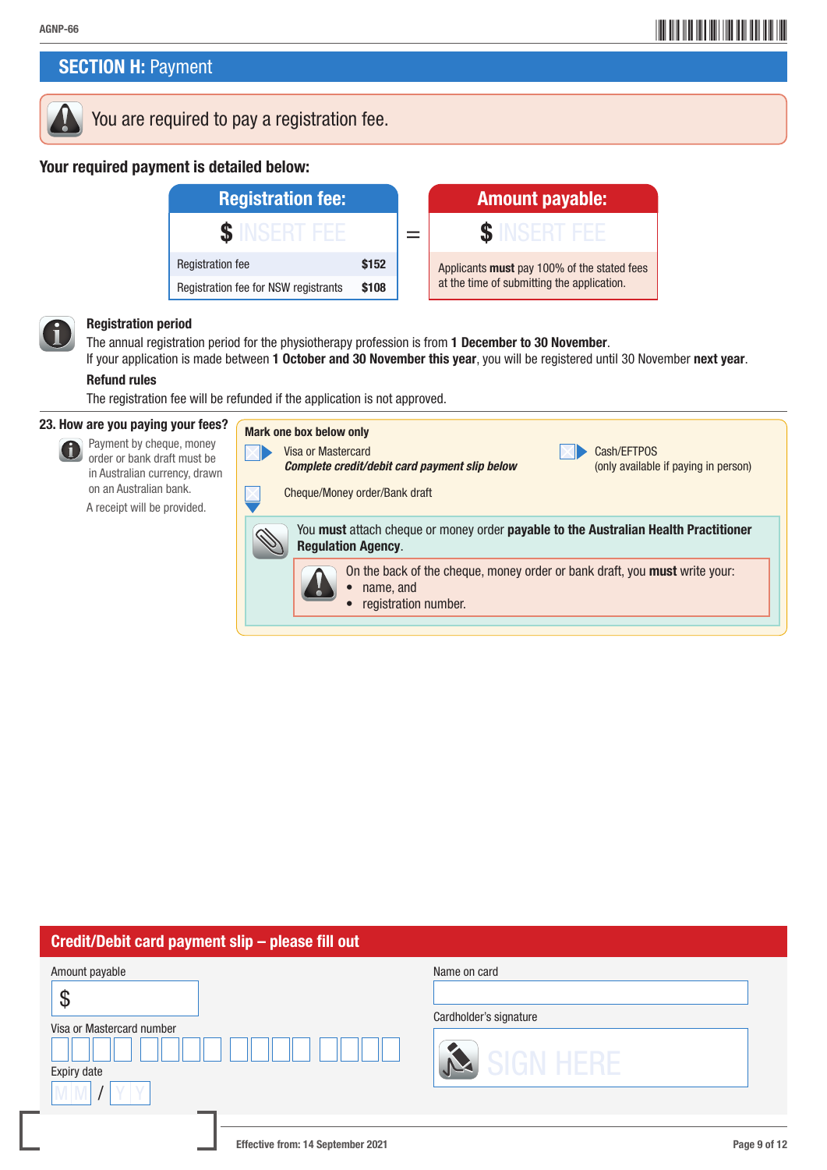## **SECTION H: Payment**



## You are required to pay a registration fee.

#### Your required payment is detailed below:



#### Registration period

The annual registration period for the physiotherapy profession is from 1 December to 30 November.

If your application is made between 1 October and 30 November this year, you will be registered until 30 November next year. Refund rules

The registration fee will be refunded if the application is not approved.

#### 23. How are you paying your fees?



 $M$   $I$   $Y$   $Y$ 

 Payment by cheque, money order or bank draft must be in Australian currency, drawn on an Australian bank. A receipt will be provided.



## Credit/Debit card payment slip – please fill out Amount payable \$ Visa or Mastercard number Expiry date Name on card Cardholder's signature

#### Effective from: 14 September 2021 **Page 9 of 12** Page 9 of 12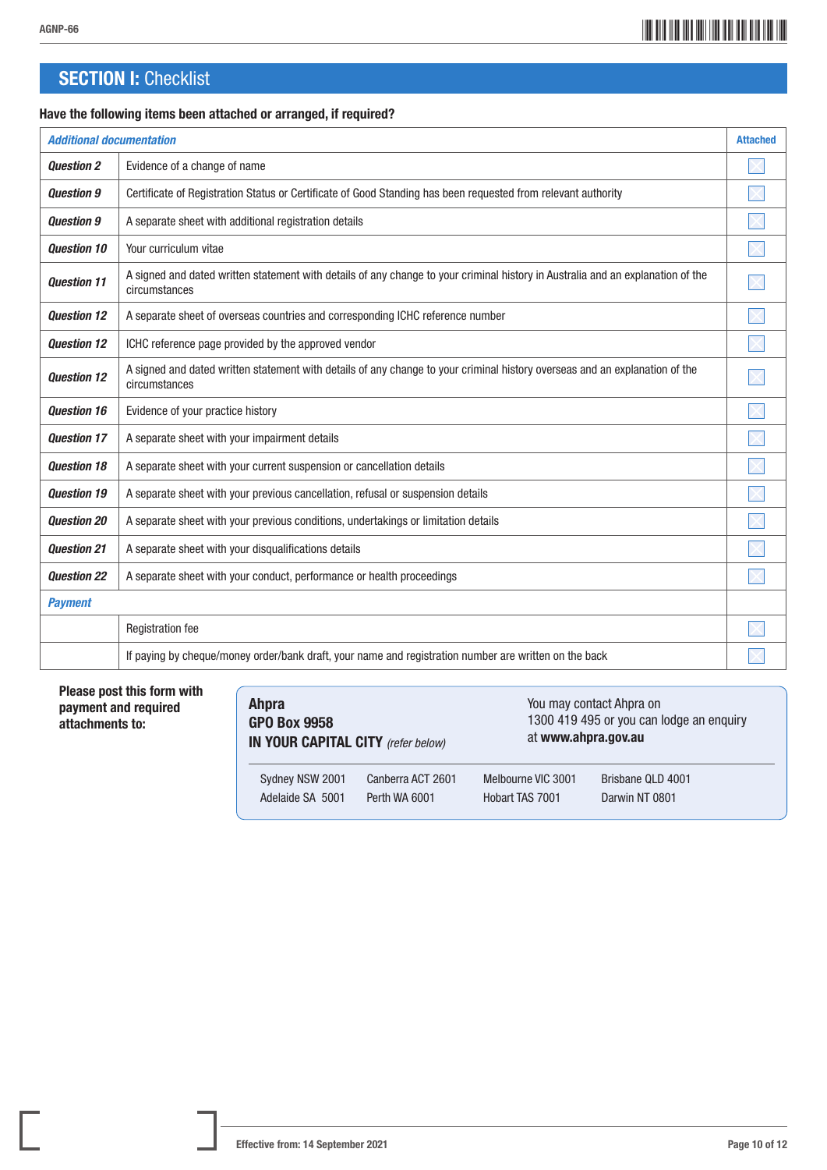## \*AGNP-6610\* AGNP-66

## **SECTION I: Checklist**

#### Have the following items been attached or arranged, if required?

| <b>Additional documentation</b> |                                                                                                                                                  | <b>Attached</b> |
|---------------------------------|--------------------------------------------------------------------------------------------------------------------------------------------------|-----------------|
| <b>Question 2</b>               | Evidence of a change of name                                                                                                                     |                 |
| <b>Question 9</b>               | Certificate of Registration Status or Certificate of Good Standing has been requested from relevant authority                                    |                 |
| <b>Question 9</b>               | A separate sheet with additional registration details                                                                                            |                 |
| <b>Question 10</b>              | Your curriculum vitae                                                                                                                            |                 |
| <b>Question 11</b>              | A signed and dated written statement with details of any change to your criminal history in Australia and an explanation of the<br>circumstances |                 |
| <b>Question 12</b>              | A separate sheet of overseas countries and corresponding ICHC reference number                                                                   |                 |
| <b>Question 12</b>              | ICHC reference page provided by the approved vendor                                                                                              |                 |
| <b>Question 12</b>              | A signed and dated written statement with details of any change to your criminal history overseas and an explanation of the<br>circumstances     |                 |
| <b>Question 16</b>              | Evidence of your practice history                                                                                                                |                 |
| <b>Question 17</b>              | A separate sheet with your impairment details                                                                                                    |                 |
| <b>Question 18</b>              | A separate sheet with your current suspension or cancellation details                                                                            |                 |
| <b>Question 19</b>              | A separate sheet with your previous cancellation, refusal or suspension details                                                                  |                 |
| <b>Question 20</b>              | A separate sheet with your previous conditions, undertakings or limitation details                                                               |                 |
| <b>Question 21</b>              | A separate sheet with your disqualifications details                                                                                             |                 |
| <b>Question 22</b>              | A separate sheet with your conduct, performance or health proceedings                                                                            |                 |
| <b>Payment</b>                  |                                                                                                                                                  |                 |
|                                 | <b>Registration fee</b>                                                                                                                          |                 |
|                                 | If paying by cheque/money order/bank draft, your name and registration number are written on the back                                            |                 |

#### Please post this form with payment and required attachments to:

| <b>Ahpra</b><br><b>GPO Box 9958</b><br>IN YOUR CAPITAL CITY (refer below) |                   | at www.ahpra.gov.au | You may contact Ahpra on<br>1300 419 495 or you can lodge an enquiry |
|---------------------------------------------------------------------------|-------------------|---------------------|----------------------------------------------------------------------|
| Sydney NSW 2001                                                           | Canberra ACT 2601 | Melbourne VIC 3001  | Brisbane QLD 4001                                                    |
| Adelaide SA 5001                                                          | Perth WA 6001     | Hobart TAS 7001     | Darwin NT 0801                                                       |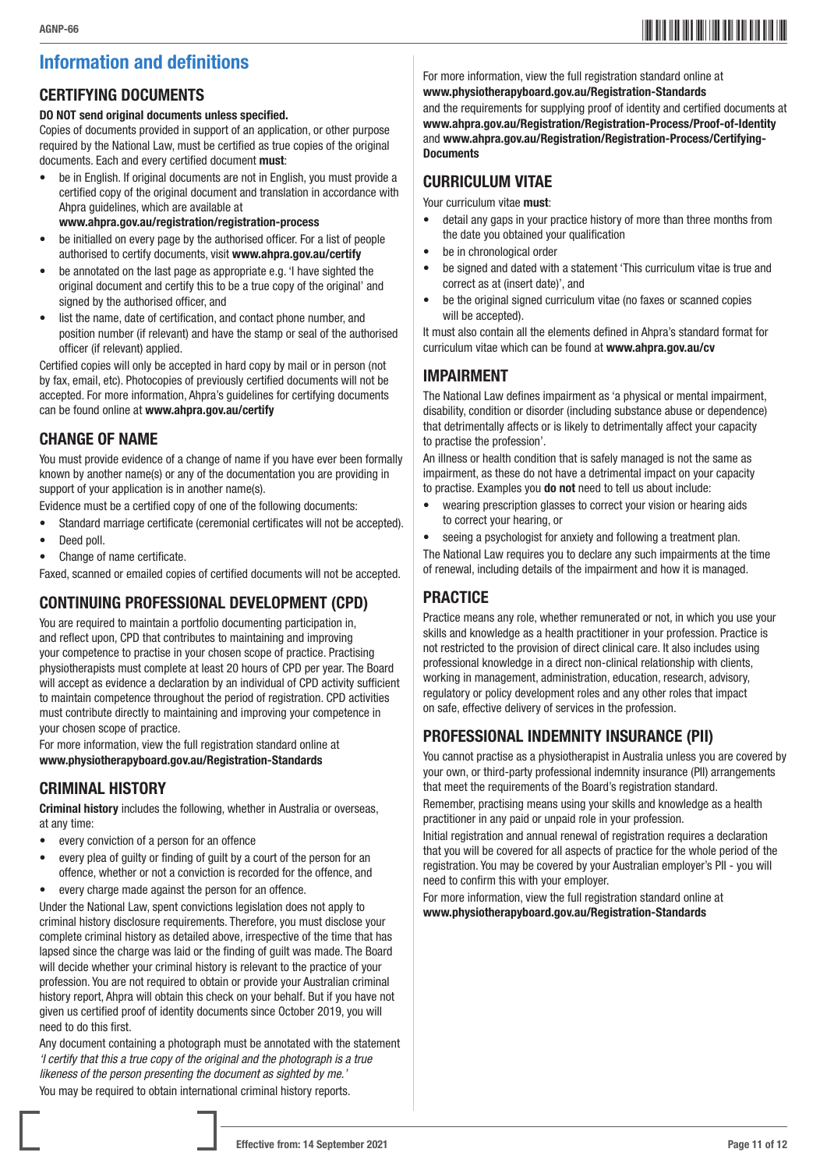## \*AGNP-6611\* AGNP-66

## Information and definitions

## CERTIFYING DOCUMENTS

#### DO NOT send original documents unless specified.

Copies of documents provided in support of an application, or other purpose required by the National Law, must be certified as true copies of the original documents. Each and every certified document must:

- be in English. If original documents are not in English, you must provide a certified copy of the original document and translation in accordance with Ahpra guidelines, which are available at
	- www.ahpra.gov.au/registration/registration-process
- be initialled on every page by the authorised officer. For a list of people authorised to certify documents, visit www.ahpra.gov.au/certify
- be annotated on the last page as appropriate e.g. 'I have sighted the original document and certify this to be a true copy of the original' and signed by the authorised officer, and
- list the name, date of certification, and contact phone number, and position number (if relevant) and have the stamp or seal of the authorised officer (if relevant) applied.

Certified copies will only be accepted in hard copy by mail or in person (not by fax, email, etc). Photocopies of previously certified documents will not be accepted. For more information, Ahpra's guidelines for certifying documents can be found online at www.ahpra.gov.au/certify

### CHANGE OF NAME

You must provide evidence of a change of name if you have ever been formally known by another name(s) or any of the documentation you are providing in support of your application is in another name(s).

Evidence must be a certified copy of one of the following documents:

- Standard marriage certificate (ceremonial certificates will not be accepted).
- Deed poll.
- Change of name certificate.

Faxed, scanned or emailed copies of certified documents will not be accepted.

## CONTINUING PROFESSIONAL DEVELOPMENT (CPD)

You are required to maintain a portfolio documenting participation in, and reflect upon, CPD that contributes to maintaining and improving your competence to practise in your chosen scope of practice. Practising physiotherapists must complete at least 20 hours of CPD per year. The Board will accept as evidence a declaration by an individual of CPD activity sufficient to maintain competence throughout the period of registration. CPD activities must contribute directly to maintaining and improving your competence in your chosen scope of practice.

For more information, view the full registration standard online at www.physiotherapyboard.gov.au/Registration-Standards

### CRIMINAL HISTORY

Criminal history includes the following, whether in Australia or overseas, at any time:

- every conviction of a person for an offence
- every plea of guilty or finding of guilt by a court of the person for an offence, whether or not a conviction is recorded for the offence, and
- every charge made against the person for an offence.

Under the National Law, spent convictions legislation does not apply to criminal history disclosure requirements. Therefore, you must disclose your complete criminal history as detailed above, irrespective of the time that has lapsed since the charge was laid or the finding of guilt was made. The Board will decide whether your criminal history is relevant to the practice of your profession. You are not required to obtain or provide your Australian criminal history report, Ahpra will obtain this check on your behalf. But if you have not given us certified proof of identity documents since October 2019, you will need to do this first.

Any document containing a photograph must be annotated with the statement *'I certify that this a true copy of the original and the photograph is a true likeness of the person presenting the document as sighted by me.'* You may be required to obtain international criminal history reports.

For more information, view the full registration standard online at www.physiotherapyboard.gov.au/Registration-Standards

and the requirements for supplying proof of identity and certified documents at www.ahpra.gov.au/Registration/Registration-Process/Proof-of-Identity and www.ahpra.gov.au/Registration/Registration-Process/Certifying-**Documents** 

### CURRICULUM VITAE

Your curriculum vitae must:

- detail any gaps in your practice history of more than three months from the date you obtained your qualification
- be in chronological order
- be signed and dated with a statement 'This curriculum vitae is true and correct as at (insert date)', and
- be the original signed curriculum vitae (no faxes or scanned copies will be accepted).

It must also contain all the elements defined in Ahpra's standard format for curriculum vitae which can be found at www.ahpra.gov.au/cv

### IMPAIRMENT

The National Law defines impairment as 'a physical or mental impairment, disability, condition or disorder (including substance abuse or dependence) that detrimentally affects or is likely to detrimentally affect your capacity to practise the profession'.

An illness or health condition that is safely managed is not the same as impairment, as these do not have a detrimental impact on your capacity to practise. Examples you do not need to tell us about include:

- wearing prescription glasses to correct your vision or hearing aids to correct your hearing, or
- seeing a psychologist for anxiety and following a treatment plan.

The National Law requires you to declare any such impairments at the time of renewal, including details of the impairment and how it is managed.

## **PRACTICE**

Practice means any role, whether remunerated or not, in which you use your skills and knowledge as a health practitioner in your profession. Practice is not restricted to the provision of direct clinical care. It also includes using professional knowledge in a direct non-clinical relationship with clients, working in management, administration, education, research, advisory, regulatory or policy development roles and any other roles that impact on safe, effective delivery of services in the profession.

### PROFESSIONAL INDEMNITY INSURANCE (PII)

You cannot practise as a physiotherapist in Australia unless you are covered by your own, or third-party professional indemnity insurance (PII) arrangements that meet the requirements of the Board's registration standard.

Remember, practising means using your skills and knowledge as a health practitioner in any paid or unpaid role in your profession.

Initial registration and annual renewal of registration requires a declaration that you will be covered for all aspects of practice for the whole period of the registration. You may be covered by your Australian employer's PII - you will need to confirm this with your employer.

For more information, view the full registration standard online at www.physiotherapyboard.gov.au/Registration-Standards